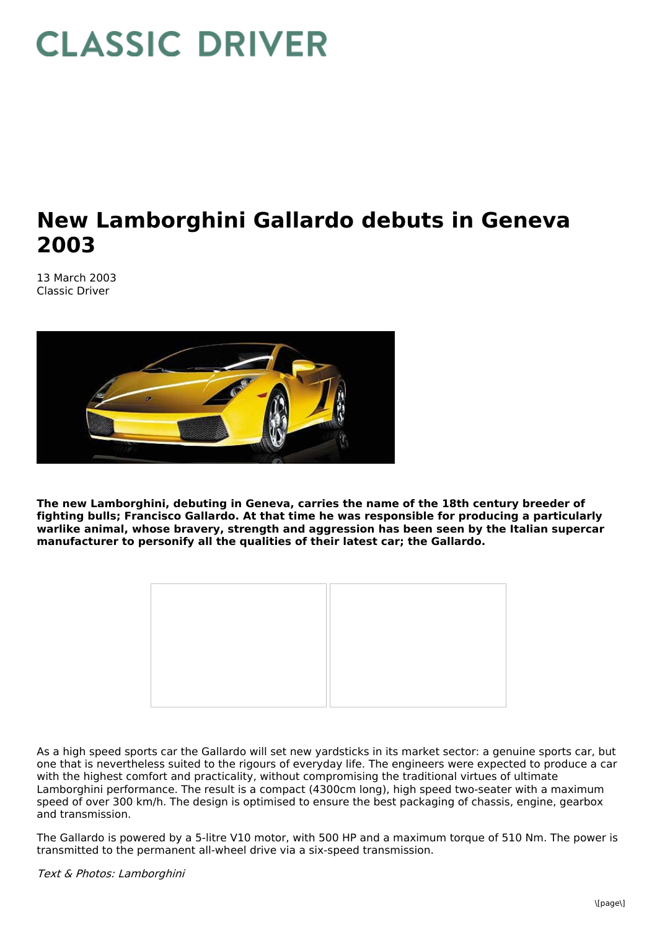## **CLASSIC DRIVER**

## **New Lamborghini Gallardo debuts in Geneva 2003**

13 March 2003 Classic Driver



**The new Lamborghini, debuting in Geneva, carries the name of the 18th century breeder of fighting bulls; Francisco Gallardo. At that time he was responsible for producing a particularly warlike animal, whose bravery, strength and aggression has been seen by the Italian supercar manufacturer to personify all the qualities of their latest car; the Gallardo.**



As a high speed sports car the Gallardo will set new yardsticks in its market sector: a genuine sports car, but one that is nevertheless suited to the rigours of everyday life. The engineers were expected to produce a car with the highest comfort and practicality, without compromising the traditional virtues of ultimate Lamborghini performance. The result is a compact (4300cm long), high speed two-seater with a maximum speed of over 300 km/h. The design is optimised to ensure the best packaging of chassis, engine, gearbox and transmission.

The Gallardo is powered by a 5-litre V10 motor, with 500 HP and a maximum torque of 510 Nm. The power is transmitted to the permanent all-wheel drive via a six-speed transmission.

Text & Photos: Lamborghini